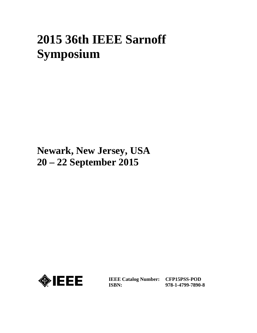# **2015 36th IEEE Sarnoff Symposium**

# **Newark, New Jersey, USA 20 – 22 September 2015**



**IEEE Catalog Number: CFP15PSS-POD ISBN:** 

**978-1-4799-7890-8**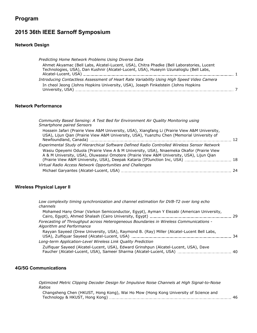# **Program**

# **2015 36th IEEE Sarnoff Symposium**

#### **Network Design**

| Predicting Home Network Problems Using Diverse Data                                                                                                                                |  |
|------------------------------------------------------------------------------------------------------------------------------------------------------------------------------------|--|
| Ahmet Akyamac (Bell Labs, Alcatel-Lucent, USA), Chitra Phadke (Bell Laboratories, Lucent<br>Technologies, USA), Dan Kushnir (Alcatel-Lucent, USA), Huseyin Uzunalioglu (Bell Labs, |  |
| Introducing Contactless Assessment of Heart Rate Variability Using High Speed Video Camera                                                                                         |  |
| In cheol Jeong (Johns Hopkins University, USA), Joseph Finkelstein (Johns Hopkins                                                                                                  |  |

#### **Network Performance**

| Community Based Sensing: A Test Bed for Environment Air Quality Monitoring using<br>Smartphone paired Sensors                                                                              |    |
|--------------------------------------------------------------------------------------------------------------------------------------------------------------------------------------------|----|
| Hossein Jafari (Prairie View A&M University, USA), Xiangfang Li (Prairie View A&M University,<br>USA), Lijun Qian (Prairie View A&M University, USA), Yuanzhu Chen (Memorial University of | 12 |
| Experimental Study of Hierarchical Software Defined Radio Controlled Wireless Sensor Network                                                                                               |    |
| Wasiu Opeyemi Oduola (Prairie View A & M University, USA), Nnaemeka Okafor (Prairie View<br>A & M University, USA), Oluwaseyi Omotere (Prairie View A&M University, USA), Lijun Qian       |    |
| Virtual Radio Access Network Opportunities and Challenges                                                                                                                                  |    |
|                                                                                                                                                                                            | 24 |

#### **Wireless Physical Layer II**

| Low complexity timing synchronization and channel estimation for DVB-T2 over long echo<br>channels                                                                                                      |  |
|---------------------------------------------------------------------------------------------------------------------------------------------------------------------------------------------------------|--|
| Mohamed Hany Omar (Varkon Semiconductor, Egypt), Ayman Y Elezabi (American University,<br>Cairo, Egypt), Ahmed Shalash (Cairo University, Egypt) [1982] [29] [29] [29] Cairo, Egypt) [29] [29] [29] [29 |  |
| Forecasting of Throughput across Heterogeneous Boundaries in Wireless Communications -<br>Algorithm and Performance                                                                                     |  |
| Rayyan Sayeed (Drew University, USA), Raymond B. (Ray) Miller (Alcatel-Lucent Bell Labs,                                                                                                                |  |
| Long-term Application-Level Wireless Link Quality Prediction                                                                                                                                            |  |
| Zulfiguar Sayeed (Alcatel-Lucent, USA), Edward Grinshpun (Alcatel-Lucent, USA), Dave                                                                                                                    |  |

#### **4G/5G Communications**

*Optimized Metric Clipping Decoder Design for Impulsive Noise Channels at High Signal-to-Noise Ratios*

Changsheng Chen (HKUST, Hong Kong), Wai Ho Mow (Hong Kong University of Science and Technology & HKUST, Hong Kong) 46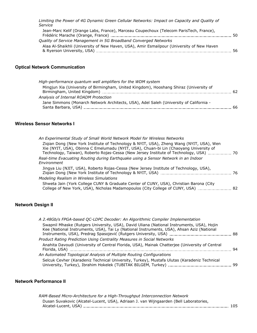| Limiting the Power of 4G Dynamic Green Cellular Networks: Impact on Capacity and Quality of<br>Service |    |
|--------------------------------------------------------------------------------------------------------|----|
| Jean-Marc Kelif (Orange Labs, France), Marceau Coupechoux (Telecom ParisTech, France),                 | 50 |
| Quality of Service Management in 5G Broadband Converged Networks                                       |    |
| Alaa Al-Shaikhli (University of New Haven, USA), Amir Esmailpour (University of New Haven              | 56 |
|                                                                                                        |    |

## **Optical Network Communication**

| High-performance quantum well amplifiers for the WDM system                                                   |    |
|---------------------------------------------------------------------------------------------------------------|----|
| Mingjun Xia (University of Birmingham, United Kingdom), Hooshang Shiraz (University of                        | 62 |
| Analysis of Internal ROADM Protection                                                                         |    |
| Jane Simmons (Monarch Network Architects, USA), Adel Saleh (University of California -<br>Santa Barbara, USA) | 66 |

#### **Wireless Sensor Networks I**

| An Experimental Study of Small World Network Model for Wireless Networks                                                                                                                                                                                                                          |  |
|---------------------------------------------------------------------------------------------------------------------------------------------------------------------------------------------------------------------------------------------------------------------------------------------------|--|
| Zigian Dong (New York Institute of Technology & NYIT, USA), Zheng Wang (NYIT, USA), Wen<br>Xie (NYIT, USA), Obinna C Emelumadu (NYIT, USA), Chuan-bi Lin (Chaoyang University of<br>Technology, Taiwan), Roberto Rojas-Cessa (New Jersey Institute of Technology, USA) [1994] Tochnology, Taiwan, |  |
| Real-time Evacuating Routing during Earthquake using a Sensor Network in an Indoor<br>Environment                                                                                                                                                                                                 |  |
| Jingya Liu (NJIT, USA), Roberto Rojas-Cessa (New Jersey Institute of Technology, USA),                                                                                                                                                                                                            |  |
| Modeling Realism in Wireless Simulations                                                                                                                                                                                                                                                          |  |
| Shweta Jain (York College CUNY & Graduate Center of CUNY, USA), Christian Barona (City                                                                                                                                                                                                            |  |

### **Network Design II**

| A 2.48Gb/s FPGA-based QC-LDPC Decoder: An Algorithmic Compiler Implementation                                                                                                                                                                                                             |     |
|-------------------------------------------------------------------------------------------------------------------------------------------------------------------------------------------------------------------------------------------------------------------------------------------|-----|
| Swapnil Mhaske (Rutgers University, USA), David Uliana (National Instruments, USA), Hojin<br>Kee (National Instruments, USA), Tai Ly (National Instruments, USA), Ahsan Aziz (National<br>1988 Enstruments, USA), Predrag Spasojević (Rutgers University, USA) Ensuing Ensuing the USA 38 |     |
| Product Rating Prediction Using Centrality Measures in Social Networks                                                                                                                                                                                                                    |     |
| Anahita Davoudi (University of Central Florida, USA), Mainak Chatterjee (University of Central                                                                                                                                                                                            | -94 |
| An Automated Topological Analysis of Multiple Routing Configurations                                                                                                                                                                                                                      |     |
| Selcuk Cevher (Karadeniz Technical University, Turkey), Mustafa Ulutas (Karadeniz Technical                                                                                                                                                                                               |     |
|                                                                                                                                                                                                                                                                                           |     |

#### **Network Performance II**

*RAM-Based Micro-Architecture for a High-Throughput Interconnection Network* Dusan Suvakovic (Alcatel-Lucent, USA), Adriaan J. van Wijngaarden (Bell Laboratories, Alcatel-Lucent, USA) 105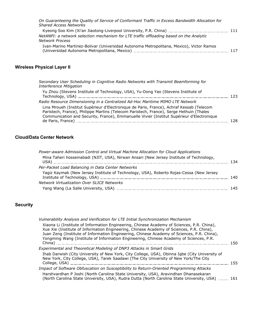| On Guaranteeing the Quality of Service of Conformant Traffic in Excess Bandwidth Allocation for<br><b>Shared Access Networks</b> |     |
|----------------------------------------------------------------------------------------------------------------------------------|-----|
|                                                                                                                                  |     |
| NetANPI: a network selection mechanism for LTE traffic offloading based on the Analytic                                          |     |
| <b>Network Process</b>                                                                                                           |     |
| Ivan-Marino Martinez-Bolivar (Universidad Autonoma Metropolitana, Mexico), Victor Ramos                                          | 117 |

# **Wireless Physical Layer II**

| Secondary User Scheduling in Cognitive Radio Networks with Transmit Beamforming for<br><b>Interference Mitigation</b>                                                                                                                                                            |     |
|----------------------------------------------------------------------------------------------------------------------------------------------------------------------------------------------------------------------------------------------------------------------------------|-----|
| Yu Zhou (Stevens Institute of Technology, USA), Yu-Dong Yao (Stevens Institute of                                                                                                                                                                                                | 123 |
| Radio Resource Dimensioning in a Centralized Ad-Hoc Maritime MIMO LTE Network                                                                                                                                                                                                    |     |
| Lina Mroueh (Institut Supérieur d'Electronique de Paris, France), Achraf Kessab (Telecom<br>Paristech, France), Philippe Martins (Telecom Paristech, France), Serge Hethuin (Thales<br>Communication and Security, France), Emmanuelle Vivier (Institut Supérieur d'Electronique |     |
| de Paris, France)                                                                                                                                                                                                                                                                | 128 |

# **Cloud/Data Center Network**

| 134 |
|-----|
|     |
| 140 |
|     |
| 145 |
|     |

# **Security**

| Xiaona Li (Institute of Information Engineering, Chinese Academy of Sciences, P.R. China),<br>Xue Xie (Institute of Information Engineering, Chinese Academy of Sciences, P.R. China),<br>Juan Zeng (Institute of Information Engineering, Chinese Academy of Sciences, P.R. China),<br>Yongming Wang (Institute of Information Engineering, Chinese Academy of Sciences, P.R.<br>150 |
|---------------------------------------------------------------------------------------------------------------------------------------------------------------------------------------------------------------------------------------------------------------------------------------------------------------------------------------------------------------------------------------|
|                                                                                                                                                                                                                                                                                                                                                                                       |
| Ihab Darwish (City University of New York, City College, USA), Obinna Igbe (City University of                                                                                                                                                                                                                                                                                        |
| 155                                                                                                                                                                                                                                                                                                                                                                                   |
| (North Carolina State University, USA), Rudra Dutta (North Carolina State University, USA)  161                                                                                                                                                                                                                                                                                       |
| Impact of Software Obfuscation on Susceptibility to Return-Oriented Programming Attacks                                                                                                                                                                                                                                                                                               |